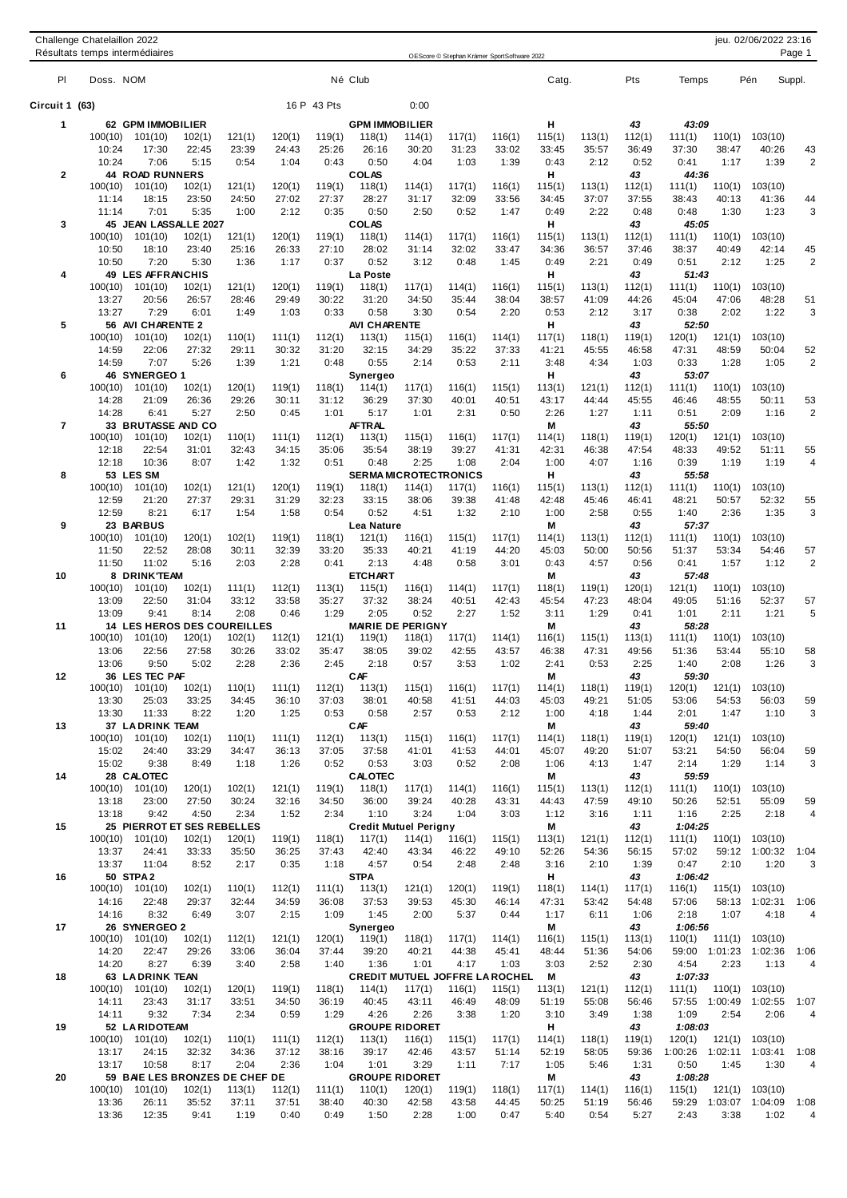|                          |                  | Résultats temps intermédiaires        |                 |                 |                 |                 |                                                |                 | OEScore © Stephan Krämer SportSoftware 2022 |                 |                 |                 |                 |                              |                 |                    | Page 1         |
|--------------------------|------------------|---------------------------------------|-----------------|-----------------|-----------------|-----------------|------------------------------------------------|-----------------|---------------------------------------------|-----------------|-----------------|-----------------|-----------------|------------------------------|-----------------|--------------------|----------------|
| PI                       | Doss. NOM        |                                       |                 |                 |                 |                 | Né Club                                        |                 |                                             |                 | Catg.           |                 | Pts             | Temps                        |                 | Pén                | Suppl.         |
| Circuit 1 (63)           |                  |                                       |                 |                 |                 | 16 P 43 Pts     |                                                | 0:00            |                                             |                 |                 |                 |                 |                              |                 |                    |                |
| 1                        |                  | 62 GPM IMMOBILIER                     |                 |                 |                 |                 | <b>GPM IMMOBILIER</b>                          |                 |                                             |                 | н               |                 | 43              | 43:09                        |                 |                    |                |
|                          | 100(10)          | 101(10)                               | 102(1)          | 121(1)          | 120(1)          | 119(1)          | 118(1)                                         | 114(1)          | 117(1)                                      | 116(1)          | 115(1)          | 113(1)          | 112(1)          | 111(1)                       | 110(1)          | 103(10)            |                |
|                          | 10:24            | 17:30                                 | 22:45           | 23:39           | 24:43           | 25:26           | 26:16                                          | 30:20           | 31:23                                       | 33:02           | 33:45           | 35:57           | 36:49           | 37:30                        | 38:47           | 40:26              | 43             |
|                          | 10:24            | 7:06                                  | 5:15            | 0:54            | 1:04            | 0:43            | 0:50                                           | 4:04            | 1:03                                        | 1:39            | 0:43            | 2:12            | 0:52            | 0:41                         | 1:17            | 1:39               | $\overline{2}$ |
| $\mathbf{2}$             |                  | <b>44 ROAD RUNNERS</b>                |                 |                 |                 |                 | <b>COLAS</b>                                   |                 |                                             |                 | н               |                 | 43              | 44:36                        |                 |                    |                |
|                          | 100(10)<br>11:14 | 101(10)<br>18:15                      | 102(1)<br>23:50 | 121(1)<br>24:50 | 120(1)<br>27:02 | 119(1)<br>27:37 | 118(1)<br>28:27                                | 114(1)<br>31:17 | 117(1)<br>32:09                             | 116(1)<br>33:56 | 115(1)<br>34:45 | 113(1)<br>37:07 | 112(1)<br>37:55 | 111(1)<br>38:43              | 110(1)<br>40:13 | 103(10)<br>41:36   | 44             |
|                          | 11:14            | 7:01                                  | 5:35            | 1:00            | 2:12            | 0:35            | 0:50                                           | 2:50            | 0:52                                        | 1:47            | 0:49            | 2:22            | 0:48            | 0:48                         | 1:30            | 1:23               | 3              |
| 3                        |                  | 45 JEAN LASSALLE 2027                 |                 |                 |                 |                 | <b>COLAS</b>                                   |                 |                                             |                 | н               |                 | 43              | 45:05                        |                 |                    |                |
|                          | 100(10)          | 101(10)                               | 102(1)          | 121(1)          | 120(1)          | 119(1)          | 118(1)                                         | 114(1)          | 117(1)                                      | 116(1)          | 115(1)          | 113(1)          | 112(1)          | 111(1)                       | 110(1)          | 103(10)            |                |
|                          | 10:50            | 18:10                                 | 23:40           | 25:16           | 26:33           | 27:10           | 28:02                                          | 31:14           | 32:02                                       | 33:47           | 34:36           | 36:57           | 37:46           | 38:37                        | 40:49           | 42:14              | 45             |
|                          | 10:50            | 7:20                                  | 5:30            | 1:36            | 1:17            | 0:37            | 0:52                                           | 3:12            | 0:48                                        | 1:45            | 0:49            | 2:21            | 0:49            | 0:51                         | 2:12            | 1:25               | $\overline{2}$ |
| 4                        |                  | 49 LES AFFRANCHIS                     |                 |                 |                 |                 | La Poste                                       |                 |                                             |                 | н               |                 | 43              | 51:43                        |                 |                    |                |
|                          | 100(10)          | 101(10)                               | 102(1)          | 121(1)          | 120(1)          | 119(1)          | 118(1)                                         | 117(1)          | 114(1)                                      | 116(1)          | 115(1)          | 113(1)          | 112(1)          | 111(1)                       | 110(1)          | 103(10)            |                |
|                          | 13:27<br>13:27   | 20:56<br>7:29                         | 26:57<br>6:01   | 28:46<br>1:49   | 29:49<br>1:03   | 30:22<br>0:33   | 31:20<br>0:58                                  | 34:50<br>3:30   | 35:44<br>0:54                               | 38:04<br>2:20   | 38:57<br>0:53   | 41:09<br>2:12   | 44:26<br>3:17   | 45:04<br>0:38                | 47:06<br>2:02   | 48:28<br>1:22      | 51<br>3        |
| 5                        |                  | 56 AVI CHARENTE 2                     |                 |                 |                 |                 | <b>AVI CHARENTE</b>                            |                 |                                             |                 | н               |                 | 43              | 52:50                        |                 |                    |                |
|                          | 100(10)          | 101(10)                               | 102(1)          | 110(1)          | 111(1)          | 112(1)          | 113(1)                                         | 115(1)          | 116(1)                                      | 114(1)          | 117(1)          | 118(1)          | 119(1)          | 120(1)                       | 121(1)          | 103(10)            |                |
|                          | 14:59            | 22:06                                 | 27:32           | 29:11           | 30:32           | 31:20           | 32:15                                          | 34:29           | 35:22                                       | 37:33           | 41:21           | 45:55           | 46:58           | 47:31                        | 48:59           | 50:04              | 52             |
|                          | 14:59            | 7:07                                  | 5:26            | 1:39            | 1:21            | 0:48            | 0:55                                           | 2:14            | 0:53                                        | 2:11            | 3:48            | 4:34            | 1:03            | 0:33                         | 1:28            | 1:05               | 2              |
| 6                        |                  | 46 SYNERGEO 1                         |                 |                 |                 |                 | Synergeo                                       |                 |                                             |                 | н               |                 | 43              | 53:07                        |                 |                    |                |
|                          | 100(10)          | 101(10)                               | 102(1)          | 120(1)          | 119(1)          | 118(1)          | 114(1)                                         | 117(1)          | 116(1)                                      | 115(1)          | 113(1)          | 121(1)          | 112(1)          | 111(1)                       | 110(1)          | 103(10)            |                |
|                          | 14:28            | 21:09                                 | 26:36           | 29:26           | 30:11           | 31:12           | 36:29                                          | 37:30           | 40:01                                       | 40:51           | 43:17           | 44:44           | 45:55           | 46:46                        | 48:55           | 50:11              | 53             |
|                          | 14:28            | 6:41                                  | 5:27            | 2:50            | 0:45            | 1:01            | 5:17                                           | 1:01            | 2:31                                        | 0:50            | 2:26            | 1:27            | 1:11            | 0:51                         | 2:09            | 1:16               | 2              |
| $\overline{\phantom{a}}$ | 100(10)          | 33 BRUTASSE AND CO                    |                 |                 |                 | 112(1)          | AFTRAL<br>113(1)                               |                 |                                             |                 | М               |                 | 43<br>119(1)    | 55:50                        |                 |                    |                |
|                          | 12:18            | 101(10)<br>22:54                      | 102(1)<br>31:01 | 110(1)<br>32:43 | 111(1)<br>34:15 | 35:06           | 35:54                                          | 115(1)<br>38:19 | 116(1)<br>39:27                             | 117(1)<br>41:31 | 114(1)<br>42:31 | 118(1)<br>46:38 | 47:54           | 120(1)<br>48:33              | 121(1)<br>49:52 | 103(10)<br>51:11   | 55             |
|                          | 12:18            | 10:36                                 | 8:07            | 1:42            | 1:32            | 0:51            | 0:48                                           | 2:25            | 1:08                                        | 2:04            | 1:00            | 4:07            | 1:16            | 0:39                         | 1:19            | 1:19               | $\overline{4}$ |
| 8                        |                  | 53 LES SM                             |                 |                 |                 |                 | <b>SERMA MICROTECTRONICS</b>                   |                 |                                             |                 | н               |                 | 43              | 55:58                        |                 |                    |                |
|                          | 100(10)          | 101(10)                               | 102(1)          | 121(1)          | 120(1)          | 119(1)          | 118(1)                                         | 114(1)          | 117(1)                                      | 116(1)          | 115(1)          | 113(1)          | 112(1)          | 111(1)                       | 110(1)          | 103(10)            |                |
|                          | 12:59            | 21:20                                 | 27:37           | 29:31           | 31:29           | 32:23           | 33:15                                          | 38:06           | 39:38                                       | 41:48           | 42:48           | 45:46           | 46:41           | 48:21                        | 50:57           | 52:32              | 55             |
|                          | 12:59            | 8:21                                  | 6:17            | 1:54            | 1:58            | 0:54            | 0:52                                           | 4:51            | 1:32                                        | 2:10            | 1:00            | 2:58            | 0:55            | 1:40                         | 2:36            | 1:35               | 3              |
| 9                        |                  | 23 BARBUS                             |                 |                 |                 |                 | Lea Nature                                     |                 |                                             |                 | Μ               |                 | 43              | 57.37                        |                 |                    |                |
|                          | 100(10)          | 101(10)                               | 120(1)          | 102(1)          | 119(1)          | 118(1)          | 121(1)                                         | 116(1)          | 115(1)                                      | 117(1)          | 114(1)          | 113(1)          | 112(1)          | 111(1)                       | 110(1)          | 103(10)            |                |
|                          | 11:50            | 22:52                                 | 28:08           | 30:11           | 32:39           | 33:20           | 35:33                                          | 40:21           | 41:19                                       | 44:20           | 45:03           | 50:00           | 50:56           | 51:37                        | 53:34           | 54:46              | 57             |
| 10                       | 11:50            | 11:02<br>8 DRINK'TEAM                 | 5:16            | 2:03            | 2:28            | 0:41            | 2:13<br><b>ETCHART</b>                         | 4:48            | 0:58                                        | 3:01            | 0:43<br>Μ       | 4:57            | 0:56<br>43      | 0:41<br>57:48                | 1:57            | 1:12               | $\overline{2}$ |
|                          | 100(10)          | 101(10)                               | 102(1)          | 111(1)          | 112(1)          | 113(1)          | 115(1)                                         | 116(1)          | 114(1)                                      | 117(1)          | 118(1)          | 119(1)          | 120(1)          | 121(1)                       | 110(1)          | 103(10)            |                |
|                          | 13:09            | 22:50                                 | 31:04           | 33:12           | 33:58           | 35:27           | 37:32                                          | 38:24           | 40:51                                       | 42:43           | 45:54           | 47:23           | 48:04           | 49:05                        | 51:16           | 52:37              | 57             |
|                          | 13:09            | 9:41                                  | 8:14            | 2:08            | 0:46            | 1:29            | 2:05                                           | 0:52            | 2:27                                        | 1:52            | 3:11            | 1:29            | 0:41            | 1:01                         | 2:11            | 1:21               | 5              |
| 11                       |                  | <b>14 LES HEROS DES COUREILLES</b>    |                 |                 |                 |                 | <b>MARIE DE PERIGNY</b>                        |                 |                                             |                 | М               |                 | 43              | 58:28                        |                 |                    |                |
|                          | 100(10)          | 101(10)                               | 120(1)          | 102(1)          | 112(1)          | 121(1)          | 119(1)                                         | 118(1)          | 117(1)                                      | 114(1)          | 116(1)          | 115(1)          | 113(1)          | 111(1)                       | 110(1)          | 103(10)            |                |
|                          | 13:06            | 22:56                                 | 27:58           | 30:26           | 33:02           | 35:47           | 38:05                                          | 39:02           | 42:55                                       | 43:57           | 46:38           | 47:31           | 49:56           | 51:36                        | 53:44           | 55:10              | 58             |
|                          | 13:06            | 9:50                                  | 5:02            | 2:28            | 2:36            | 2:45            | 2:18                                           | 0:57            | 3:53                                        | 1:02            | 2:41            | 0:53            | 2:25            | 1:40                         | 2:08            | 1:26               | 3              |
| 12                       |                  | 36 LES TEC PAF                        |                 |                 |                 |                 | <b>CAF</b>                                     |                 |                                             |                 | M               |                 | 43              | 59:30                        |                 |                    |                |
|                          |                  | $100(10)$ $101(10)$                   | 102(1)          | 110(1)          | 111(1)          | 112(1)          | 113(1)                                         | 115(1)          | 116(1)                                      | 117(1)          | 114(1)          | 118(1)          | 119(1)          | 120(1)                       |                 | $121(1)$ $103(10)$ |                |
|                          | 13:30<br>13:30   | 25:03<br>11:33                        | 33:25<br>8:22   | 34:45<br>1:20   | 36:10<br>1:25   | 37:03<br>0:53   | 38:01<br>0:58                                  | 40:58<br>2:57   | 41:51<br>0:53                               | 44:03<br>2:12   | 45:03<br>1:00   | 49:21<br>4:18   | 51:05<br>1:44   | 53:06<br>2:01                | 54:53<br>1:47   | 56:03<br>1:10      | 59<br>3        |
| 13                       |                  | 37 LADRINK TEAM                       |                 |                 |                 |                 | CAF                                            |                 |                                             |                 | М               |                 | 43              | 59:40                        |                 |                    |                |
|                          |                  | $100(10)$ $101(10)$                   | 102(1)          | 110(1)          | 111(1)          | 112(1)          | 113(1)                                         | 115(1)          | 116(1)                                      | 117(1)          | 114(1)          | 118(1)          | 119(1)          | 120(1)                       | 121(1)          | 103(10)            |                |
|                          | 15:02            | 24:40                                 | 33:29           | 34:47           | 36:13           | 37:05           | 37:58                                          | 41:01           | 41:53                                       | 44:01           | 45:07           | 49:20           | 51:07           | 53:21                        | 54:50           | 56:04              | 59             |
|                          | 15:02            | 9:38                                  | 8:49            | 1:18            | 1:26            | 0:52            | 0:53                                           | 3:03            | 0:52                                        | 2:08            | 1:06            | 4:13            | 1:47            | 2:14                         | 1:29            | 1:14               | 3              |
| 14                       |                  | 28 CALOTEC                            |                 |                 |                 |                 | <b>CALOTEC</b>                                 |                 |                                             |                 | M               |                 | 43              | 59:59                        |                 |                    |                |
|                          |                  | 100(10) 101(10)                       | 120(1)          | 102(1)          | 121(1)          | 119(1)          | 118(1)                                         | 117(1)          | 114(1)                                      | 116(1)          | 115(1)          | 113(1)          | 112(1)          | 111(1)                       | 110(1)          | 103(10)            |                |
|                          | 13:18            | 23:00                                 | 27:50           | 30:24           | 32:16           | 34:50           | 36:00                                          | 39:24           | 40:28                                       | 43:31           | 44:43           | 47:59           | 49:10           | 50:26                        | 52:51           | 55:09              | 59             |
|                          | 13:18            | 9:42                                  | 4:50            | 2:34            | 1:52            | 2:34            | 1:10                                           | 3:24            | 1:04                                        | 3:03            | 1:12            | 3:16            | 1:11            | 1:16                         | 2:25            | 2:18               | $\overline{4}$ |
| 15                       | 100(10)          | 25 PIERROT ET SES REBELLES<br>101(10) | 102(1)          | 120(1)          | 119(1)          | 118(1)          | <b>Credit Mutuel Perigny</b><br>117(1)         | 114(1)          | 116(1)                                      | 115(1)          | М<br>113(1)     | 121(1)          | 43<br>112(1)    | 1:04:25<br>111(1)            |                 | $110(1)$ $103(10)$ |                |
|                          | 13:37            | 24:41                                 | 33:33           | 35:50           | 36:25           | 37:43           | 42:40                                          | 43:34           | 46:22                                       | 49:10           | 52:26           | 54:36           | 56:15           | 57:02                        |                 | 59:12 1:00:32 1:04 |                |
|                          | 13:37            | 11:04                                 | 8:52            | 2:17            | 0:35            | 1:18            | 4:57                                           | 0:54            | 2:48                                        | 2:48            | 3:16            | 2:10            | 1:39            | 0:47                         | 2:10            | 1:20               | 3              |
| 16                       |                  | <b>50 STPA2</b>                       |                 |                 |                 |                 | <b>STPA</b>                                    |                 |                                             |                 | н               |                 | 43              | 1:06:42                      |                 |                    |                |
|                          | 100(10)          | 101(10)                               | 102(1)          | 110(1)          | 112(1)          | 111(1)          | 113(1)                                         | 121(1)          | 120(1)                                      | 119(1)          | 118(1)          | 114(1)          | 117(1)          | 116(1)                       |                 | 115(1) 103(10)     |                |
|                          | 14:16            | 22:48                                 | 29:37           | 32:44           | 34:59           | 36:08           | 37:53                                          | 39:53           | 45:30                                       | 46:14           | 47:31           | 53:42           | 54:48           | 57:06                        |                 | 58:13 1:02:31      | 1:06           |
|                          | 14:16            | 8:32                                  | 6:49            | 3:07            | 2:15            | 1:09            | 1:45                                           | 2:00            | 5:37                                        | 0:44            | 1:17            | 6:11            | 1:06            | 2:18                         | 1:07            | 4:18               | 4              |
| 17                       |                  | 26 SYNERGEO 2                         |                 |                 |                 |                 | Synergeo                                       |                 |                                             |                 | М               |                 | 43              | 1:06:56                      |                 |                    |                |
|                          | 100(10)          | 101(10)                               | 102(1)          | 112(1)          | 121(1)          | 120(1)          | 119(1)                                         | 118(1)          | 117(1)                                      | 114(1)          | 116(1)          | 115(1)          | 113(1)          | 110(1)                       |                 | 111(1) 103(10)     |                |
|                          | 14:20            | 22:47                                 | 29:26           | 33:06           | 36:04           | 37:44           | 39:20                                          | 40:21           | 44:38                                       | 45:41           | 48:44           | 51:36           | 54:06           | 59:00 1:01:23 1:02:36        |                 |                    | 1:06           |
|                          | 14:20            | 8:27                                  | 6:39            | 3:40            | 2:58            | 1:40            | 1:36                                           | 1:01            | 4:17                                        | 1:03            | 3:03<br>M       | 2:52            | 2:30<br>43      | 4:54<br>1:07:33              | 2:23            | 1:13               | 4              |
| 18                       | 100(10)          | 63 LADRINK TEAN<br>101(10)            | 102(1)          | 120(1)          | 119(1)          | 118(1)          | <b>CREDIT MUTUEL JOFFRE LAROCHEL</b><br>114(1) | 117(1)          | 116(1)                                      | 115(1)          | 113(1)          | 121(1)          | 112(1)          | 111(1)                       |                 | $110(1)$ $103(10)$ |                |
|                          | 14:11            | 23:43                                 | 31:17           | 33:51           | 34:50           | 36:19           | 40:45                                          | 43:11           | 46:49                                       | 48:09           | 51:19           | 55:08           | 56:46           | 57:55 1:00:49 1:02:55        |                 |                    | 1:07           |
|                          | 14:11            | 9:32                                  | 7:34            | 2:34            | 0:59            | 1:29            | 4:26                                           | 2:26            | 3:38                                        | 1:20            | 3:10            | 3:49            | 1:38            | 1:09                         | 2:54            | 2:06               | 4              |
| 19                       |                  | 52 LA RIDOTEAM                        |                 |                 |                 |                 | <b>GROUPE RIDORET</b>                          |                 |                                             |                 | н               |                 | 43              | 1:08:03                      |                 |                    |                |
|                          | 100(10)          | 101(10)                               | 102(1)          | 110(1)          | 111(1)          | 112(1)          | 113(1)                                         | 116(1)          | 115(1)                                      | 117(1)          | 114(1)          | 118(1)          | 119(1)          | 120(1)                       |                 | 121(1) 103(10)     |                |
|                          | 13:17            | 24:15                                 | 32:32           | 34:36           | 37:12           | 38:16           | 39:17                                          | 42:46           | 43:57                                       | 51:14           | 52:19           | 58:05           | 59:36           | 1:00:26 1:02:11 1:03:41 1:08 |                 |                    |                |
|                          | 13:17            | 10:58                                 | 8:17            | 2:04            | 2:36            | 1:04            | 1:01                                           | 3:29            | 1:11                                        | 7:17            | 1:05            | 5:46            | 1:31            | 0:50                         | 1:45            | 1:30               | 4              |
| 20                       |                  | 59 BAE LES BRONZES DE CHEF DE         |                 |                 |                 |                 | <b>GROUPE RIDORET</b>                          |                 |                                             |                 | М               |                 | 43              | 1:08:28                      |                 |                    |                |
|                          |                  | $100(10)$ $101(10)$                   | 102(1)          | 113(1)          | 112(1)          | 111(1)          | 110(1)                                         | 120(1)          | 119(1)                                      | 118(1)          | 117(1)          | 114(1)          | 116(1)          | 115(1)                       |                 | 121(1) 103(10)     |                |
|                          | 13:36            | 26:11                                 | 35:52           | 37:11           | 37:51           | 38:40           | 40:30                                          | 42:58           | 43:58                                       | 44:45           | 50:25           | 51:19           | 56:46           | 59:29 1:03:07 1:04:09        |                 |                    | 1:08           |
|                          | 13:36            | 12:35                                 | 9:41            | 1:19            | 0:40            | 0:49            | 1:50                                           | 2:28            | 1:00                                        | 0:47            | 5:40            | 0:54            | 5:27            | 2:43                         | 3:38            | 1:02               | 4              |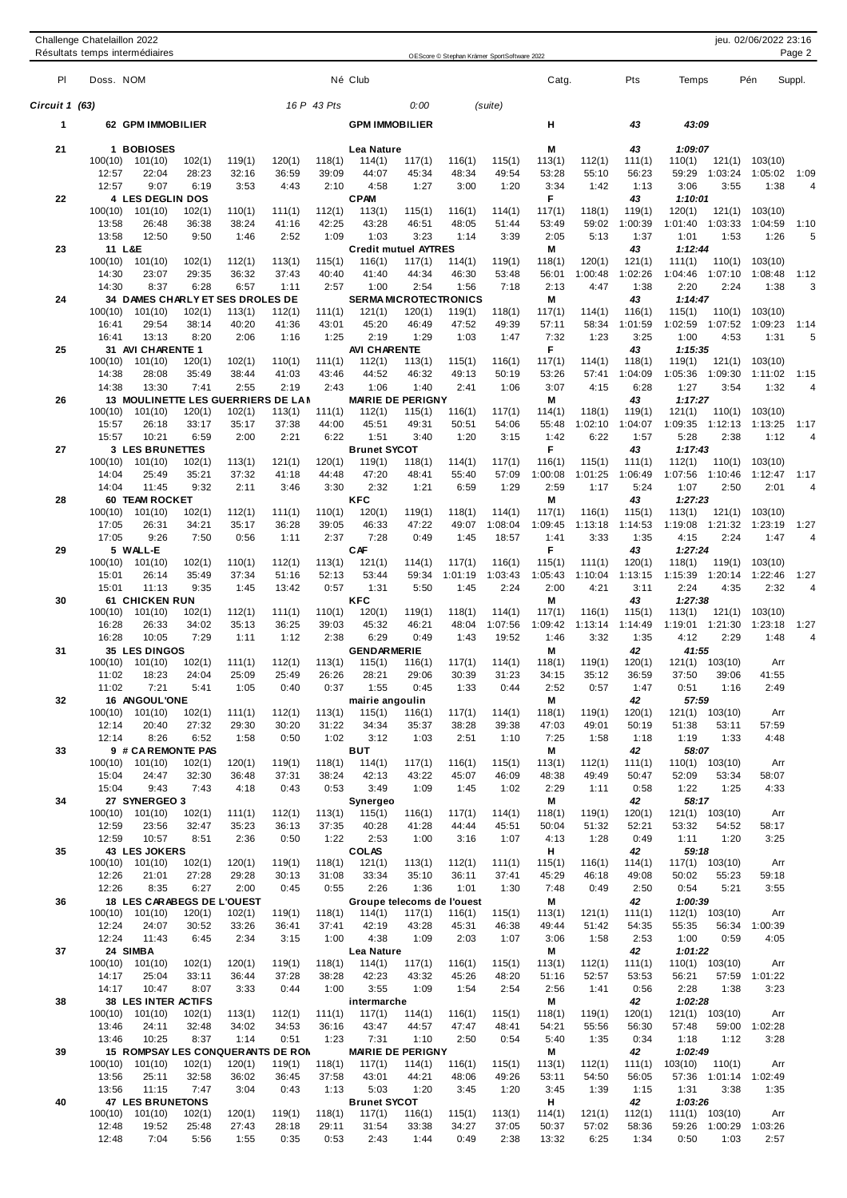| Challenge Chatelaillon 2022       |             | jeu. 02/06/2022 23:16                       |         |       |        |       |     |        |  |  |
|-----------------------------------|-------------|---------------------------------------------|---------|-------|--------|-------|-----|--------|--|--|
| Résultats temps intermédiaires    |             | OEScore © Stephan Krämer SportSoftware 2022 |         |       |        |       |     |        |  |  |
| Doss, NOM<br>PI                   | Né Club     |                                             |         | Catg. | Pts    | Temps | Pén | Suppl. |  |  |
| Circuit 1 (63)                    | 16 P 43 Pts | 0:00                                        | (suite) |       |        |       |     |        |  |  |
| 62 GPM IMMOBILIER                 |             | <b>GPM IMMOBILIER</b>                       |         | н     | 43     | 43:09 |     |        |  |  |
| $\sim$ $\sim$<br>$\cdot$ -------- | .           |                                             |         | $-$   | $\sim$ | .     |     |        |  |  |

| uit 1 (63): |                  |                                              |                 |                 |                 | 16 P 43 Pts     |                                       | 0:00            |                 | (suite)           |                   |                   |                   |                              |                                |                        |
|-------------|------------------|----------------------------------------------|-----------------|-----------------|-----------------|-----------------|---------------------------------------|-----------------|-----------------|-------------------|-------------------|-------------------|-------------------|------------------------------|--------------------------------|------------------------|
| 1           |                  | 62 GPM IMMOBILIER                            |                 |                 |                 |                 | <b>GPM IMMOBILIER</b>                 |                 |                 |                   | н                 |                   | 43                | 43:09                        |                                |                        |
|             |                  |                                              |                 |                 |                 |                 |                                       |                 |                 |                   |                   |                   |                   |                              |                                |                        |
| 21          |                  | 1 BOBIOSES                                   |                 |                 |                 |                 | Lea Nature                            |                 |                 |                   | М                 |                   | 43                | 1:09:07                      |                                |                        |
|             | 100(10)<br>12:57 | 101(10)<br>22:04                             | 102(1)<br>28:23 | 119(1)<br>32:16 | 120(1)<br>36:59 | 118(1)<br>39:09 | 114(1)<br>44:07                       | 117(1)<br>45:34 | 116(1)<br>48:34 | 115(1)<br>49:54   | 113(1)<br>53:28   | 112(1)<br>55:10   | 111(1)<br>56:23   | 110(1)<br>59:29<br>1:03:24   | 121(1)<br>103(10)<br>1:05:02   | 1:09                   |
|             | 12:57            | 9:07                                         | 6:19            | 3:53            | 4:43            | 2:10            | 4:58                                  | 1:27            | 3:00            | 1:20              | 3:34              | 1:42              | 1:13              | 3:06                         | 3:55<br>1:38                   | $\overline{4}$         |
| 22          |                  | 4 LES DEGLIN DOS                             |                 |                 |                 |                 | <b>CPAM</b>                           |                 |                 |                   | F.                |                   | 43                | 1:10:01                      |                                |                        |
|             | 100(10)          | 101(10)                                      | 102(1)          | 110(1)          | 111(1)          | 112(1)          | 113(1)                                | 115(1)          | 116(1)          | 114(1)            | 117(1)            | 118(1)            | 119(1)            | 120(1)                       | 121(1)<br>103(10)              |                        |
|             | 13:58            | 26:48                                        | 36:38           | 38:24           | 41:16           | 42:25           | 43:28                                 | 46:51           | 48:05           | 51:44             | 53:49             | 59:02             | 1:00:39           | 1:03:33<br>1:01:40           | 1:04:59                        | 1:10                   |
|             | 13:58            | 12:50                                        | 9:50            | 1:46            | 2:52            | 1:09            | 1:03                                  | 3:23            | 1:14            | 3:39              | 2:05              | 5:13              | 1:37              | 1:01                         | 1:53<br>1:26                   | 5                      |
| 23          | 100(10)          | 11 L&E<br>101(10)                            | 102(1)          | 112(1)          | 113(1)          | 115(1)          | <b>Credit mutuel AYTRES</b><br>116(1) | 117(1)          | 114(1)          | 119(1)            | Μ<br>118(1)       | 120(1)            | 43<br>121(1)      | 1:12:44<br>111(1)            | 110(1)<br>103(10)              |                        |
|             | 14:30            | 23:07                                        | 29:35           | 36:32           | 37:43           | 40:40           | 41:40                                 | 44:34           | 46:30           | 53:48             | 56:01             | 1:00:48           | 1:02:26           | 1:04:46<br>1:07:10           | 1:08:48                        | 1:12                   |
|             | 14:30            | 8:37                                         | 6:28            | 6:57            | 1:11            | 2:57            | 1:00                                  | 2:54            | 1:56            | 7:18              | 2:13              | 4:47              | 1:38              | 2:20                         | 2:24<br>1:38                   | 3                      |
| 24          |                  | 34 DAMES CHARLY ET SES DROLES DE             |                 |                 |                 |                 | <b>SERMA MICROTECTRONICS</b>          |                 |                 |                   | Μ                 |                   | 43                | 1:14:47                      |                                |                        |
|             | 100(10)          | 101(10)                                      | 102(1)          | 113(1)          | 112(1)          | 111(1)          | 121(1)                                | 120(1)          | 119(1)          | 118(1)            | 117(1)            | 114(1)            | 116(1)            | 115(1)                       | 110(1)<br>103(10)              |                        |
|             | 16:41            | 29:54                                        | 38:14           | 40:20           | 41:36           | 43:01           | 45:20                                 | 46:49           | 47:52           | 49:39             | 57:11             | 58:34             | 1:01:59           | 1:02:59<br>1:07:52           | 1:09:23                        | 1:14                   |
| 25          | 16:41            | 13:13<br>31 AVI CHARENTE 1                   | 8:20            | 2:06            | 1:16            | 1:25            | 2:19<br>AVI CHARENTE                  | 1:29            | 1:03            | 1:47              | 7:32<br>F.        | 1:23              | 3:25<br>43        | 1:00<br>1:15:35              | 4:53<br>1:31                   | 5                      |
|             | 100(10)          | 101(10)                                      | 120(1)          | 102(1)          | 110(1)          | 111(1)          | 112(1)                                | 113(1)          | 115(1)          | 116(1)            | 117(1)            | 114(1)            | 118(1)            | 119(1)                       | 121(1)<br>103(10)              |                        |
|             | 14:38            | 28:08                                        | 35:49           | 38:44           | 41:03           | 43:46           | 44:52                                 | 46:32           | 49:13           | 50:19             | 53:26             | 57:41             | 1:04:09           | 1:05:36<br>1:09:30           | 1:11:02                        | 1:15                   |
|             | 14:38            | 13:30                                        | 7:41            | 2:55            | 2:19            | 2:43            | 1:06                                  | 1:40            | 2:41            | 1:06              | 3:07              | 4:15              | 6:28              | 1:27                         | 3:54<br>1:32                   | $\overline{4}$         |
| 26          |                  | 13 MOULINETTE LES GUERRIERS DE LA N          |                 |                 |                 |                 | <b>MARIE DE PERIGNY</b>               |                 |                 |                   | M                 |                   | 43                | 1:17:27                      |                                |                        |
|             | 100(10)          | 101(10)                                      | 120(1)<br>33:17 | 102(1)<br>35:17 | 113(1)          | 111(1)          | 112(1)                                | 115(1)<br>49:31 | 116(1)          | 117(1)            | 114(1)            | 118(1)<br>1:02:10 | 119(1)            | 121(1)                       | 110(1)<br>103(10)              |                        |
|             | 15:57<br>15:57   | 26:18<br>10:21                               | 6:59            | 2:00            | 37:38<br>2:21   | 44:00<br>6:22   | 45:51<br>1:51                         | 3:40            | 50:51<br>1:20   | 54:06<br>3:15     | 55:48<br>1:42     | 6:22              | 1:04:07<br>1:57   | 1:09:35<br>1:12:13<br>5:28   | 1:13:25<br>2:38<br>1:12        | 1:17<br>$\overline{4}$ |
| 27          |                  | <b>3 LES BRUNETTES</b>                       |                 |                 |                 |                 | <b>Brunet SYCOT</b>                   |                 |                 |                   | F.                |                   | 43                | 1:17:43                      |                                |                        |
|             | 100(10)          | 101(10)                                      | 102(1)          | 113(1)          | 121(1)          | 120(1)          | 119(1)                                | 118(1)          | 114(1)          | 117(1)            | 116(1)            | 115(1)            | 111(1)            | 112(1)                       | 110(1)<br>103(10)              |                        |
|             | 14:04            | 25:49                                        | 35:21           | 37:32           | 41:18           | 44:48           | 47:20                                 | 48:41           | 55:40           | 57:09             | 1:00:08           | 1:01:25           | 1:06:49           | 1:07:56<br>1:10:46           | 1:12:47                        | 1:17                   |
|             | 14:04            | 11:45                                        | 9:32            | 2:11            | 3:46            | 3:30            | 2:32                                  | 1:21            | 6:59            | 1:29              | 2:59              | 1:17              | 5:24              | 1:07                         | 2:50<br>2:01                   | $\overline{4}$         |
| 28          |                  | 60 TEAM ROCKET                               |                 |                 |                 |                 | <b>KFC</b>                            |                 |                 |                   | M                 |                   | 43                | 1:27:23                      |                                |                        |
|             | 100(10)<br>17:05 | 101(10)<br>26:31                             | 102(1)<br>34:21 | 112(1)<br>35:17 | 111(1)<br>36:28 | 110(1)<br>39:05 | 120(1)<br>46:33                       | 119(1)<br>47:22 | 118(1)<br>49:07 | 114(1)<br>1:08:04 | 117(1)<br>1:09:45 | 116(1)<br>1:13:18 | 115(1)<br>1:14:53 | 113(1)<br>1:21:32<br>1:19:08 | 121(1)<br>103(10)<br>1:23:19   | 1:27                   |
|             | 17:05            | 9:26                                         | 7:50            | 0:56            | 1:11            | 2:37            | 7:28                                  | 0:49            | 1:45            | 18:57             | 1:41              | 3:33              | 1:35              | 4:15                         | 2:24<br>1:47                   | $\overline{4}$         |
| 29          |                  | 5 WALL-E                                     |                 |                 |                 |                 | CAF                                   |                 |                 |                   | F.                |                   | 43                | 1:27:24                      |                                |                        |
|             | 100(10)          | 101(10)                                      | 102(1)          | 110(1)          | 112(1)          | 113(1)          | 121(1)                                | 114(1)          | 117(1)          | 116(1)            | 115(1)            | 111(1)            | 120(1)            | 118(1)                       | 119(1)<br>103(10)              |                        |
|             | 15:01            | 26:14                                        | 35:49           | 37:34           | 51:16           | 52:13           | 53:44                                 | 59:34           | 1:01:19         | 1:03:43           | 1:05:43           | 1:10:04           | 1:13:15           | 1:15:39<br>1:20:14           | 1:22:46                        | 1:27                   |
|             | 15:01            | 11:13                                        | 9:35            | 1:45            | 13:42           | 0:57            | 1:31                                  | 5:50            | 1:45            | 2:24              | 2:00              | 4:21              | 3:11              | 2:24                         | 4:35<br>2:32                   | 4                      |
| 30          | 100(10)          | <b>61 CHICKEN RUN</b><br>101(10)             | 102(1)          | 112(1)          | 111(1)          | 110(1)          | <b>KFC</b><br>120(1)                  | 119(1)          | 118(1)          | 114(1)            | M<br>117(1)       | 116(1)            | 43<br>115(1)      | 1:27:38<br>113(1)            | 121(1)<br>103(10)              |                        |
|             | 16:28            | 26:33                                        | 34:02           | 35:13           | 36:25           | 39:03           | 45:32                                 | 46:21           | 48:04           | 1:07:56           | 1:09:42           | 1:13:14           | 1:14:49           | 1:19:01<br>1:21:30           | 1:23:18                        | 1:27                   |
|             | 16:28            | 10:05                                        | 7:29            | 1:11            | 1:12            | 2:38            | 6:29                                  | 0:49            | 1:43            | 19:52             | 1:46              | 3:32              | 1:35              | 4:12                         | 2:29<br>1:48                   | 4                      |
| 31          |                  | <b>35 LES DINGOS</b>                         |                 |                 |                 |                 | <b>GENDARMERIE</b>                    |                 |                 |                   | M                 |                   | 42                | 41:55                        |                                |                        |
|             | 100(10)          | 101(10)                                      | 102(1)          | 111(1)          | 112(1)          | 113(1)          | 115(1)                                | 116(1)          | 117(1)          | 114(1)            | 118(1)            | 119(1)            | 120(1)            | 121(1)<br>103(10)            | Arr                            |                        |
|             | 11:02            | 18:23                                        | 24:04           | 25:09           | 25:49           | 26:26           | 28:21                                 | 29:06           | 30:39           | 31:23             | 34:15             | 35:12             | 36:59             | 37:50                        | 39:06<br>41:55                 |                        |
| 32          | 11:02            | 7:21<br>16 ANGOUL'ONE                        | 5:41            | 1:05            | 0:40            | 0:37            | 1:55<br>mairie angoulin               | 0:45            | 1:33            | 0:44              | 2:52<br>M         | 0:57              | 1:47<br>42        | 0:51<br>57:59                | 1:16<br>2:49                   |                        |
|             | 100(10)          | 101(10)                                      | 102(1)          | 111(1)          | 112(1)          | 113(1)          | 115(1)                                | 116(1)          | 117(1)          | 114(1)            | 118(1)            | 119(1)            | 120(1)            | 121(1)<br>103(10)            | Arr                            |                        |
|             | 12:14            | 20:40                                        | 27:32           | 29:30           | 30:20           | 31:22           | 34:34                                 | 35:37           | 38:28           | 39:38             | 47:03             | 49:01             | 50:19             | 51:38                        | 57:59<br>53:11                 |                        |
|             | 12:14            | 8:26                                         | 6:52            | 1:58            | 0:50            | 1:02            | 3:12                                  | 1:03            | 2:51            | 1:10              | 7:25              | 1:58              | 1:18              | 1:19                         | 1:33<br>4:48                   |                        |
| 33          |                  | 9 # CA REMONTE PAS                           |                 |                 |                 |                 | <b>BUT</b>                            |                 |                 |                   | Μ                 |                   | 42                | 58:07                        |                                |                        |
|             | 100(10)          | 101(10)                                      | 102(1)          | 120(1)          | 119(1)          | 118(1)          | 114(1)                                | 117(1)          | 116(1)          | 115(1)            | 113(1)            | 112(1)            | 111(1)            | 103(10)<br>110(1)            | Arr                            |                        |
|             | 15:04<br>15:04   | 24:47<br>9:43                                | 32:30<br>7:43   | 36:48<br>4:18   | 37:31<br>0:43   | 38:24<br>0:53   | 42:13<br>3:49                         | 43:22<br>1:09   | 45:07<br>1:45   | 46:09<br>1:02     | 48:38<br>2:29     | 49:49<br>1:11     | 50:47<br>0:58     | 52:09<br>1:22                | 53:34<br>58:07<br>4:33<br>1:25 |                        |
| 34          |                  | 27 SYNERGEO 3                                |                 |                 |                 |                 | Synergeo                              |                 |                 |                   | Μ                 |                   | 42                | 58:17                        |                                |                        |
|             | 100(10)          | 101(10)                                      | 102(1)          | 111(1)          | 112(1)          | 113(1)          | 115(1)                                | 116(1)          | 117(1)          | 114(1)            | 118(1)            | 119(1)            | 120(1)            | 121(1) 103(10)               | Arr                            |                        |
|             | 12:59            | 23:56                                        | 32:47           | 35:23           | 36:13           | 37:35           | 40:28                                 | 41:28           | 44:44           | 45:51             | 50:04             | 51:32             | 52:21             | 53:32                        | 58:17<br>54:52                 |                        |
|             | 12:59            | 10:57                                        | 8:51            | 2:36            | 0:50            | 1:22            | 2:53                                  | 1:00            | 3:16            | 1:07              | 4:13              | 1:28              | 0:49              | 1:11                         | 1:20<br>3:25                   |                        |
| 35          |                  | <b>43 LES JOKERS</b>                         |                 |                 |                 |                 | <b>COLAS</b>                          |                 |                 |                   | н                 |                   | 42                | 59:18                        |                                |                        |
|             | 100(10)<br>12:26 | 101(10)<br>21:01                             | 102(1)<br>27:28 | 120(1)<br>29:28 | 119(1)<br>30:13 | 118(1)<br>31:08 | 121(1)<br>33:34                       | 113(1)<br>35:10 | 112(1)<br>36:11 | 111(1)<br>37:41   | 115(1)<br>45:29   | 116(1)<br>46:18   | 114(1)<br>49:08   | 117(1) 103(10)<br>50:02      | Arr<br>59:18<br>55:23          |                        |
|             | 12:26            | 8:35                                         | 6:27            | 2:00            | 0:45            | 0:55            | 2:26                                  | 1:36            | 1:01            | 1:30              | 7:48              | 0:49              | 2:50              | 0:54                         | 5:21<br>3:55                   |                        |
| 36          |                  | 18 LES CARABEGS DE L'OUEST                   |                 |                 |                 |                 | Groupe telecoms de l'ouest            |                 |                 |                   | Μ                 |                   | 42                | 1:00:39                      |                                |                        |
|             | 100(10)          | 101(10)                                      | 120(1)          | 102(1)          | 119(1)          | 118(1)          | 114(1)                                | 117(1)          | 116(1)          | 115(1)            | 113(1)            | 121(1)            | 111(1)            | 112(1) 103(10)               | Arr                            |                        |
|             | 12:24            | 24:07                                        | 30:52           | 33:26           | 36:41           | 37:41           | 42:19                                 | 43:28           | 45:31           | 46:38             | 49:44             | 51:42             | 54:35             | 55:35                        | 1:00:39<br>56:34               |                        |
|             | 12:24            | 11:43                                        | 6:45            | 2:34            | 3:15            | 1:00            | 4:38                                  | 1:09            | 2:03            | 1:07              | 3:06              | 1:58              | 2:53              | 1:00                         | 0:59<br>4:05                   |                        |
| 37          | 100(10)          | 24 SIMBA<br>101(10)                          | 102(1)          | 120(1)          | 119(1)          | 118(1)          | Lea Nature<br>114(1)                  | 117(1)          | 116(1)          | 115(1)            | M<br>113(1)       | 112(1)            | 42<br>111(1)      | 1:01:22<br>110(1)<br>103(10) | Arr                            |                        |
|             | 14:17            | 25:04                                        | 33:11           | 36:44           | 37:28           | 38:28           | 42:23                                 | 43:32           | 45:26           | 48:20             | 51:16             | 52:57             | 53:53             | 56:21                        | 1:01:22<br>57:59               |                        |
|             | 14:17            | 10:47                                        | 8:07            | 3:33            | 0:44            | 1:00            | 3:55                                  | 1:09            | 1:54            | 2:54              | 2:56              | 1:41              | 0:56              | 2:28                         | 1:38<br>3:23                   |                        |
| 38          |                  | 38 LES INTER ACTIFS                          |                 |                 |                 |                 | intermarche                           |                 |                 |                   | М                 |                   | 42                | 1:02:28                      |                                |                        |
|             | 100(10)          | 101(10)                                      | 102(1)          | 113(1)          | 112(1)          | 111(1)          | 117(1)                                | 114(1)          | 116(1)          | 115(1)            | 118(1)            | 119(1)            | 120(1)            | 121(1)<br>103(10)            | Arr                            |                        |
|             | 13:46            | 24:11                                        | 32:48           | 34:02           | 34:53           | 36:16           | 43:47                                 | 44:57           | 47:47           | 48:41             | 54:21             | 55:56             | 56:30             | 57:48                        | 1:02:28<br>59:00               |                        |
|             | 13:46            | 10:25                                        | 8:37            | 1:14            | 0:51            | 1:23            | 7:31                                  | 1:10            | 2:50            | 0:54              | 5:40              | 1:35              | 0:34              | 1:18                         | 1:12<br>3:28                   |                        |
| 39          | 100(10)          | 15 ROMPSAY LES CONQUERANTS DE RON<br>101(10) | 102(1)          | 120(1)          | 119(1)          | 118(1)          | <b>MARIE DE PERIGNY</b><br>117(1)     | 114(1)          | 116(1)          | 115(1)            | Μ<br>113(1)       | 112(1)            | 42<br>111(1)      | 1:02:49<br>103(10)<br>110(1) | Arr                            |                        |
|             | 13:56            | 25:11                                        | 32:58           | 36:02           | 36:45           | 37:58           | 43:01                                 | 44:21           | 48:06           | 49:26             | 53:11             | 54:50             | 56:05             | 57:36<br>1:01:14             | 1:02:49                        |                        |
|             | 13:56            | 11:15                                        | 7:47            | 3:04            | 0:43            | 1:13            | 5:03                                  | 1:20            | 3:45            | 1:20              | 3:45              | 1:39              | 1:15              | 1:31                         | 3:38<br>1:35                   |                        |
| 40          |                  | <b>47 LES BRUNETONS</b>                      |                 |                 |                 |                 | <b>Brunet SYCOT</b>                   |                 |                 |                   | н                 |                   | 42                | 1:03:26                      |                                |                        |
|             | 100(10)          | 101(10)                                      | 102(1)          | 120(1)          | 119(1)          | 118(1)          | 117(1)                                | 116(1)          | 115(1)          | 113(1)            | 114(1)            | 121(1)            | 112(1)            | $111(1)$ $103(10)$           | Arr                            |                        |
|             | 12:48            | 19:52                                        | 25:48           | 27:43           | 28:18           | 29:11           | 31:54                                 | 33:38           | 34:27           | 37:05             | 50:37             | 57:02             | 58:36             | 59:26 1:00:29                | 1:03:26                        |                        |
|             | 12:48            | 7:04                                         | 5:56            | 1:55            | 0:35            | 0:53            | 2:43                                  | 1:44            | 0:49            | 2:38              | 13:32             | 6:25              | 1:34              | 0:50                         | 1:03<br>2:57                   |                        |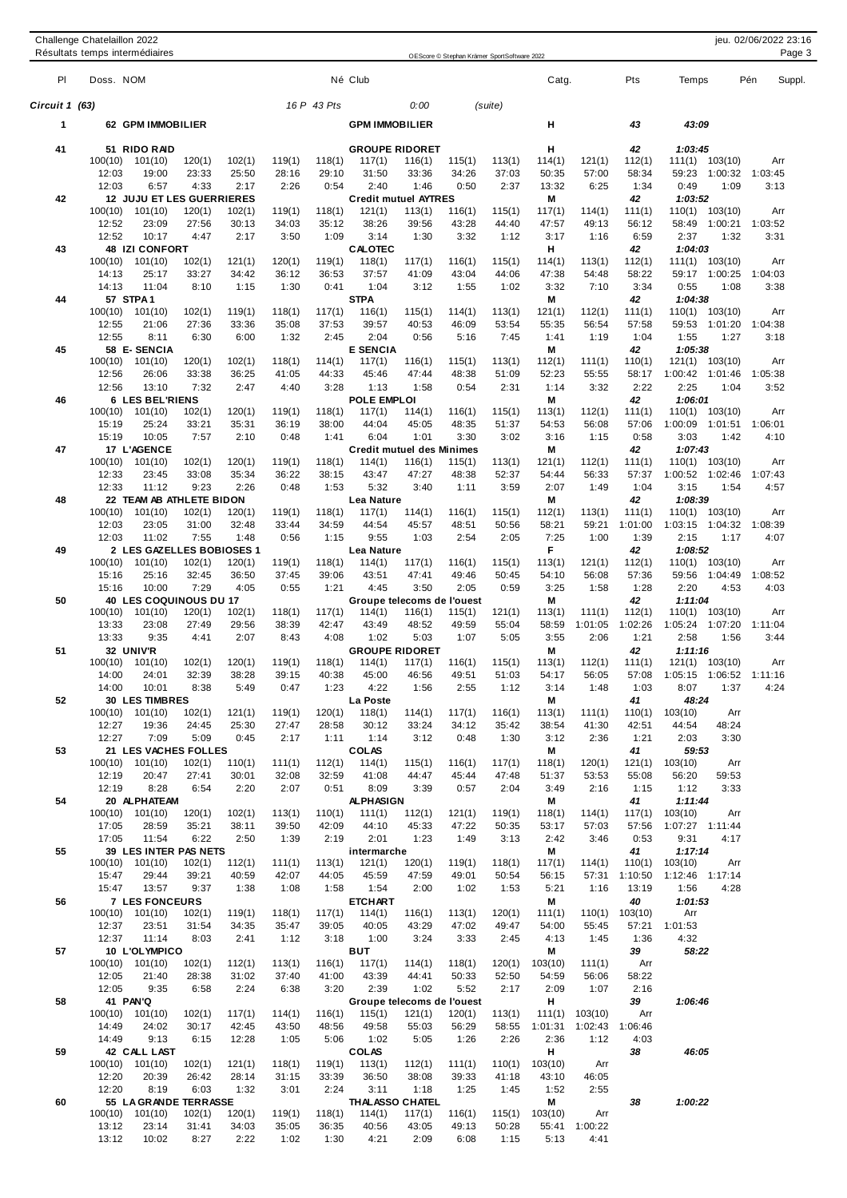|                |                  | Résultats temps intermédiaires               |                 |                 |                 |                 |                                      |                 | OEScore © Stephan Krämer SportSoftware 2022 |                 |                    |                      |                 |                                                 |                 | Page 3 |
|----------------|------------------|----------------------------------------------|-----------------|-----------------|-----------------|-----------------|--------------------------------------|-----------------|---------------------------------------------|-----------------|--------------------|----------------------|-----------------|-------------------------------------------------|-----------------|--------|
| PI             | Doss. NOM        |                                              |                 |                 |                 |                 | Né Club                              |                 |                                             |                 | Catg.              |                      | Pts             | Temps                                           | Pén             | Suppl. |
| Circuit 1 (63) |                  |                                              |                 |                 |                 | 16 P 43 Pts     |                                      | 0:00            |                                             | (suite)         |                    |                      |                 |                                                 |                 |        |
| 1              |                  | 62 GPM IMMOBILIER                            |                 |                 |                 |                 | <b>GPM IMMOBILIER</b>                |                 |                                             |                 | н                  |                      | 43              | 43:09                                           |                 |        |
| 41             |                  | 51 RIDO RAD                                  |                 |                 |                 |                 | <b>GROUPE RIDORET</b>                |                 |                                             |                 | н                  |                      | 42              | 1:03:45                                         |                 |        |
|                | 100(10)          | 101(10)                                      | 120(1)          | 102(1)          | 119(1)          | 118(1)          | 117(1)                               | 116(1)          | 115(1)                                      | 113(1)          | 114(1)             | 121(1)               | 112(1)          | 111(1) 103(10)                                  | Arr             |        |
|                | 12:03<br>12:03   | 19:00<br>6:57                                | 23:33<br>4:33   | 25:50<br>2:17   | 28:16<br>2:26   | 29:10<br>0:54   | 31:50<br>2:40                        | 33:36<br>1:46   | 34:26<br>0:50                               | 37:03<br>2:37   | 50:35<br>13:32     | 57:00<br>6:25        | 58:34<br>1:34   | 59:23<br>1:00:32<br>0:49<br>1:09                | 1:03:45<br>3:13 |        |
| 42             |                  | <b>12 JUJU ET LES GUERRIERES</b>             |                 |                 |                 |                 | <b>Credit mutuel AYTRES</b>          |                 |                                             |                 | М                  |                      | 42              | 1:03:52                                         |                 |        |
|                | 100(10)          | 101(10)                                      | 120(1)          | 102(1)          | 119(1)          | 118(1)          | 121(1)                               | 113(1)          | 116(1)                                      | 115(1)          | 117(1)             | 114(1)               | 111(1)          | 110(1) 103(10)                                  | Arr             |        |
|                | 12:52            | 23:09                                        | 27:56           | 30:13           | 34:03           | 35:12           | 38:26                                | 39:56           | 43:28                                       | 44:40           | 47:57              | 49:13                | 56:12           | 58:49 1:00:21                                   | 1:03:52         |        |
| 43             | 12:52            | 10:17<br><b>48 IZI CONFORT</b>               | 4:47            | 2:17            | 3:50            | 1:09            | 3:14<br><b>CALOTEC</b>               | 1:30            | 3:32                                        | 1:12            | 3:17<br>н          | 1:16                 | 6:59<br>42      | 2:37<br>1:32<br>1:04:03                         | 3:31            |        |
|                | 100(10)          | 101(10)                                      | 102(1)          | 121(1)          | 120(1)          | 119(1)          | 118(1)                               | 117(1)          | 116(1)                                      | 115(1)          | 114(1)             | 113(1)               | 112(1)          | 111(1) 103(10)                                  | Arr             |        |
|                | 14:13            | 25:17                                        | 33:27           | 34:42           | 36:12           | 36:53           | 37:57                                | 41:09           | 43:04                                       | 44:06           | 47:38              | 54:48                | 58:22           | 59:17 1:00:25                                   | 1:04:03         |        |
|                | 14:13            | 11:04<br>57 STPA1                            | 8:10            | 1:15            | 1:30            | 0:41            | 1:04<br><b>STPA</b>                  | 3:12            | 1:55                                        | 1:02            | 3:32<br>М          | 7:10                 | 3:34<br>42      | 0:55<br>1:08<br>1:04:38                         | 3:38            |        |
| 44             | 100(10)          | 101(10)                                      | 102(1)          | 119(1)          | 118(1)          | 117(1)          | 116(1)                               | 115(1)          | 114(1)                                      | 113(1)          | 121(1)             | 112(1)               | 111(1)          | 110(1)<br>103(10)                               | Arr             |        |
|                | 12:55            | 21:06                                        | 27:36           | 33:36           | 35:08           | 37:53           | 39:57                                | 40:53           | 46:09                                       | 53:54           | 55:35              | 56:54                | 57:58           | 59:53 1:01:20                                   | 1:04:38         |        |
|                | 12:55            | 8:11                                         | 6:30            | 6:00            | 1:32            | 2:45            | 2:04                                 | 0:56            | 5:16                                        | 7:45            | 1:41               | 1:19                 | 1:04            | 1:55<br>1:27                                    | 3:18            |        |
| 45             | 100(10)          | 58 E-SENCIA<br>101(10)                       | 120(1)          | 102(1)          | 118(1)          | 114(1)          | <b>E SENCIA</b><br>117(1)            | 116(1)          | 115(1)                                      | 113(1)          | М<br>112(1)        | 111(1)               | 42<br>110(1)    | 1:05:38<br>103(10)<br>121(1)                    | Arr             |        |
|                | 12:56            | 26:06                                        | 33:38           | 36:25           | 41:05           | 44:33           | 45:46                                | 47:44           | 48:38                                       | 51:09           | 52:23              | 55:55                | 58:17           | 1:00:42<br>1:01:46                              | 1:05:38         |        |
|                | 12:56            | 13:10                                        | 7:32            | 2:47            | 4:40            | 3:28            | 1:13                                 | 1:58            | 0:54                                        | 2:31            | 1:14               | 3:32                 | 2:22            | 2:25<br>1:04                                    | 3:52            |        |
| 46             |                  | <b>6 LES BEL'RIENS</b>                       |                 |                 |                 |                 | <b>POLE EMPLOI</b>                   |                 |                                             |                 | Μ                  |                      | 42              | 1:06:01                                         |                 |        |
|                | 100(10)<br>15:19 | 101(10)<br>25:24                             | 102(1)<br>33:21 | 120(1)<br>35:31 | 119(1)<br>36:19 | 118(1)<br>38:00 | 117(1)<br>44:04                      | 114(1)<br>45:05 | 116(1)<br>48:35                             | 115(1)<br>51:37 | 113(1)<br>54:53    | 112(1)<br>56:08      | 111(1)<br>57:06 | 110(1)<br>103(10)<br>1:00:09 1:01:51            | Arr<br>1:06:01  |        |
|                | 15:19            | 10:05                                        | 7:57            | 2:10            | 0:48            | 1:41            | 6:04                                 | 1:01            | 3:30                                        | 3:02            | 3:16               | 1:15                 | 0:58            | 3:03<br>1:42                                    | 4:10            |        |
| 47             |                  | 17 L'AGENCE                                  |                 |                 |                 |                 | <b>Credit mutuel des Minimes</b>     |                 |                                             |                 | Μ                  |                      | 42              | 1:07:43                                         |                 |        |
|                | 100(10)          | 101(10)                                      | 102(1)          | 120(1)          | 119(1)          | 118(1)          | 114(1)                               | 116(1)          | 115(1)                                      | 113(1)          | 121(1)             | 112(1)               | 111(1)          | $110(1)$ $103(10)$                              | Arr             |        |
|                | 12:33<br>12:33   | 23:45<br>11:12                               | 33:08<br>9:23   | 35:34<br>2:26   | 36:22<br>0:48   | 38:15<br>1:53   | 43:47<br>5:32                        | 47:27<br>3:40   | 48:38<br>1:11                               | 52:37<br>3:59   | 54:44<br>2:07      | 56:33<br>1:49        | 57:37<br>1:04   | 1:00:52<br>1:02:46<br>3:15<br>1:54              | 1:07:43<br>4:57 |        |
| 48             |                  | 22 TEAM AB ATHLETE BIDON                     |                 |                 |                 |                 | Lea Nature                           |                 |                                             |                 | М                  |                      | 42              | 1:08:39                                         |                 |        |
|                | 100(10)          | 101(10)                                      | 102(1)          | 120(1)          | 119(1)          | 118(1)          | 117(1)                               | 114(1)          | 116(1)                                      | 115(1)          | 112(1)             | 113(1)               | 111(1)          | 110(1)<br>103(10)                               | Arr             |        |
|                | 12:03            | 23:05                                        | 31:00           | 32:48           | 33:44           | 34:59           | 44:54                                | 45:57           | 48:51                                       | 50:56           | 58:21              | 59:21                | 1:01:00         | 1:03:15<br>1:04:32                              | 1:08:39         |        |
| 49             | 12:03            | 11:02<br>2 LES GAZELLES BOBIOSES 1           | 7:55            | 1:48            | 0:56            | 1:15            | 9:55<br>Lea Nature                   | 1:03            | 2:54                                        | 2:05            | 7:25<br>F          | 1:00                 | 1:39<br>42      | 2:15<br>1:17<br>1:08:52                         | 4:07            |        |
|                | 100(10)          | 101(10)                                      | 102(1)          | 120(1)          | 119(1)          | 118(1)          | 114(1)                               | 117(1)          | 116(1)                                      | 115(1)          | 113(1)             | 121(1)               | 112(1)          | 110(1)<br>103(10)                               | Arr             |        |
|                | 15:16            | 25:16                                        | 32:45           | 36:50           | 37:45           | 39:06           | 43:51                                | 47:41           | 49:46                                       | 50:45           | 54:10              | 56:08                | 57:36           | 59:56<br>1:04:49                                | 1:08:52         |        |
|                | 15:16            | 10:00                                        | 7:29            | 4:05            | 0:55            | 1:21            | 4:45                                 | 3:50            | 2:05                                        | 0:59            | 3:25               | 1:58                 | 1:28            | 2:20<br>4:53                                    | 4:03            |        |
| 50             | 100(10)          | <b>40 LES COQUINOUS DU 17</b><br>101(10)     | 120(1)          | 102(1)          | 118(1)          | 117(1)          | Groupe telecoms de l'ouest<br>114(1) | 116(1)          | 115(1)                                      | 121(1)          | М<br>113(1)        | 111(1)               | 42<br>112(1)    | 1:11:04<br>110(1)<br>103(10)                    | Arr             |        |
|                | 13:33            | 23:08                                        | 27:49           | 29:56           | 38:39           | 42:47           | 43:49                                | 48:52           | 49:59                                       | 55:04           | 58:59              | 1:01:05              | 1:02:26         | 1:05:24<br>1:07:20                              | 1:11:04         |        |
|                | 13:33            | 9:35                                         | 4:41            | 2:07            | 8:43            | 4:08            | 1:02                                 | 5:03            | 1:07                                        | 5:05            | 3:55               | 2:06                 | 1:21            | 2:58<br>1:56                                    | 3:44            |        |
| 51             |                  | 32 UNIV'R                                    |                 |                 |                 |                 | <b>GROUPE RIDORET</b>                |                 |                                             |                 | Μ                  |                      | 42              | 1:11:16                                         |                 |        |
|                | 14:00            | 100(10) 101(10)<br>24:01                     | 102(1)<br>32:39 | 120(1)<br>38:28 | 119(1)<br>39:15 | 118(1)<br>40:38 | 114(1)<br>45:00                      | 117(1)<br>46:56 | 116(1)<br>49:51                             | 115(1)<br>51:03 | 113(1)<br>54:17    | 112(1)<br>56:05      | 111(1)<br>57:08 | $121(1)$ $103(10)$<br>1:05:15  1:06:52  1:11:16 | Arr             |        |
|                | 14:00            | 10:01                                        | 8:38            | 5:49            | 0:47            | 1:23            | 4:22                                 | 1:56            | 2:55                                        | 1:12            | 3:14               | 1:48                 | 1:03            | 8:07<br>1:37                                    | 4:24            |        |
| 52             |                  | <b>30 LES TIMBRES</b>                        |                 |                 |                 |                 | La Poste                             |                 |                                             |                 | М                  |                      | 41              | 48:24                                           |                 |        |
|                |                  | $100(10)$ $101(10)$                          | 102(1)          | 121(1)          | 119(1)          | 120(1)          | 118(1)                               | 114(1)          | 117(1)                                      | 116(1)          | 113(1)             | 111(1)               |                 | $110(1)$ $103(10)$                              | Arr             |        |
|                | 12:27<br>12:27   | 19:36<br>7:09                                | 24:45<br>5:09   | 25:30<br>0:45   | 27:47<br>2:17   | 28:58<br>1:11   | 30:12<br>1:14                        | 33:24<br>3:12   | 34:12<br>0:48                               | 35:42<br>1:30   | 38:54<br>3:12      | 41:30<br>2:36        | 42:51<br>1:21   | 44:54<br>48:24<br>2:03<br>3:30                  |                 |        |
| 53             |                  | 21 LES VACHES FOLLES                         |                 |                 |                 |                 | <b>COLAS</b>                         |                 |                                             |                 | M                  |                      | 41              | 59:53                                           |                 |        |
|                |                  | $100(10)$ $101(10)$                          | 102(1)          | 110(1)          | 111(1)          | 112(1)          | 114(1)                               | 115(1)          | 116(1)                                      | 117(1)          | 118(1)             | 120(1)               | 121(1)          | 103(10)                                         | Arr             |        |
|                | 12:19            | 20:47                                        | 27:41           | 30:01           | 32:08           | 32:59           | 41:08                                | 44:47           | 45:44                                       | 47:48           | 51:37              | 53:53                | 55:08           | 59:53<br>56:20                                  |                 |        |
| 54             | 12:19            | 8:28<br>20 ALPHATEAM                         | 6:54            | 2:20            | 2:07            | 0:51            | 8:09<br><b>ALPHASIGN</b>             | 3:39            | 0:57                                        | 2:04            | 3:49<br>M          | 2:16                 | 1:15<br>41      | 1:12<br>3:33<br>1:11:44                         |                 |        |
|                |                  | $100(10)$ $101(10)$                          | 120(1)          | 102(1)          | 113(1)          | 110(1)          | 111(1)                               | 112(1)          | 121(1)                                      | 119(1)          | 118(1)             | 114(1)               | 117(1)          | 103(10)                                         | Arr             |        |
|                | 17:05            | 28:59                                        | 35:21           | 38:11           | 39:50           | 42:09           | 44:10                                | 45:33           | 47:22                                       | 50:35           | 53:17              | 57:03                |                 | 57:56 1:07:27 1:11:44                           |                 |        |
|                | 17:05            | 11:54                                        | 6:22            | 2:50            | 1:39            | 2:19            | 2:01                                 | 1:23            | 1:49                                        | 3:13            | 2:42               | 3:46                 | 0:53            | 9:31<br>4:17                                    |                 |        |
| 55             |                  | 39 LES INTER PAS NETS<br>$100(10)$ $101(10)$ | 102(1)          | 112(1)          | 111(1)          | 113(1)          | intermarche<br>121(1)                | 120(1)          | 119(1)                                      | 118(1)          | М<br>117(1)        | 114(1)               | 41<br>110(1)    | 1:17:14<br>103(10)                              | Arr             |        |
|                | 15:47            | 29:44                                        | 39:21           | 40:59           | 42:07           | 44:05           | 45:59                                | 47:59           | 49:01                                       | 50:54           | 56:15              |                      | 57:31 1:10:50   | 1:12:46 1:17:14                                 |                 |        |
|                | 15:47            | 13:57                                        | 9:37            | 1:38            | 1:08            | 1:58            | 1:54                                 | 2:00            | 1:02                                        | 1:53            | 5:21               | 1:16                 | 13:19           | 1:56<br>4:28                                    |                 |        |
| 56             |                  | <b>7 LES FONCEURS</b>                        |                 |                 |                 |                 | <b>ETCHART</b>                       |                 |                                             |                 | М                  |                      | 40              | 1:01:53                                         |                 |        |
|                | 12:37            | $100(10)$ $101(10)$<br>23:51                 | 102(1)<br>31:54 | 119(1)<br>34:35 | 118(1)<br>35:47 | 117(1)<br>39:05 | 114(1)<br>40:05                      | 116(1)<br>43:29 | 113(1)<br>47:02                             | 120(1)<br>49:47 | 111(1)<br>54:00    | 110(1)<br>55:45      | 103(10)         | Arr<br>57:21 1:01:53                            |                 |        |
|                | 12:37            | 11:14                                        | 8:03            | 2:41            | 1:12            | 3:18            | 1:00                                 | 3:24            | 3:33                                        | 2:45            | 4:13               | 1:45                 | 1:36            | 4:32                                            |                 |        |
| 57             |                  | 10 L'OLYMPICO                                |                 |                 |                 |                 | <b>BUT</b>                           |                 |                                             |                 | M                  |                      | 39              | 58:22                                           |                 |        |
|                |                  | $100(10)$ $101(10)$                          | 102(1)          | 112(1)          | 113(1)          | 116(1)          | 117(1)                               | 114(1)          | 118(1)                                      |                 | $120(1)$ $103(10)$ | 111(1)               | Arr             |                                                 |                 |        |
|                | 12:05            | 21:40<br>9:35                                | 28:38<br>6:58   | 31:02           | 37:40           | 41:00<br>3:20   | 43:39<br>2:39                        | 44:41<br>1:02   | 50:33                                       | 52:50<br>2:17   | 54:59              | 56:06                | 58:22<br>2:16   |                                                 |                 |        |
| 58             | 12:05            | 41 PAN'Q                                     |                 | 2:24            | 6:38            |                 | Groupe telecoms de l'ouest           |                 | 5:52                                        |                 | 2:09<br>н          | 1:07                 | 39              | 1:06:46                                         |                 |        |
|                |                  | $100(10)$ $101(10)$                          | 102(1)          | 117(1)          | 114(1)          |                 | $116(1)$ $115(1)$                    | 121(1)          | 120(1)                                      | 113(1)          | 111(1)             | 103(10)              | Arr             |                                                 |                 |        |
|                | 14:49            | 24:02                                        | 30:17           | 42:45           | 43:50           | 48:56           | 49:58                                | 55:03           | 56:29                                       |                 | 58:55 1:01:31      | 1:02:43 1:06:46      |                 |                                                 |                 |        |
|                | 14:49            | 9:13                                         | 6:15            | 12:28           | 1:05            | 5:06            | 1:02                                 | 5:05            | 1:26                                        | 2:26            | 2:36               | 1:12                 | 4:03            |                                                 |                 |        |
| 59             |                  | 42 CALL LAST<br>$100(10)$ $101(10)$          | 102(1)          | 121(1)          | 118(1)          |                 | <b>COLAS</b><br>$119(1)$ $113(1)$    | 112(1)          | 111(1)                                      | 110(1)          | H<br>103(10)       | Arr                  | 38              | 46:05                                           |                 |        |
|                | 12:20            | 20:39                                        | 26:42           | 28:14           | 31:15           | 33:39           | 36:50                                | 38:08           | 39:33                                       | 41:18           | 43:10              | 46:05                |                 |                                                 |                 |        |
|                | 12:20            | 8:19                                         | 6:03            | 1:32            | 3:01            | 2:24            | 3:11                                 | 1:18            | 1:25                                        | 1:45            | 1:52               | 2:55                 |                 |                                                 |                 |        |
| 60             |                  | 55 LA GRANDE TERRASSE                        |                 |                 |                 |                 | <b>THALASSO CHATEL</b>               |                 |                                             |                 | M                  |                      | 38              | 1:00:22                                         |                 |        |
|                | 13:12            | $100(10)$ $101(10)$<br>23:14                 | 102(1)<br>31:41 | 120(1)<br>34:03 | 119(1)<br>35:05 | 36:35           | $118(1)$ $114(1)$<br>40:56           | 117(1)<br>43:05 | 116(1)<br>49:13                             | 115(1)<br>50:28 | 103(10)            | Arr<br>55:41 1:00:22 |                 |                                                 |                 |        |
|                |                  |                                              |                 |                 |                 |                 |                                      |                 |                                             |                 |                    |                      |                 |                                                 |                 |        |

13:12 10:02 8:27 2:22 1:02 1:30 4:21 2:09 6:08 1:15 5:13 4:41